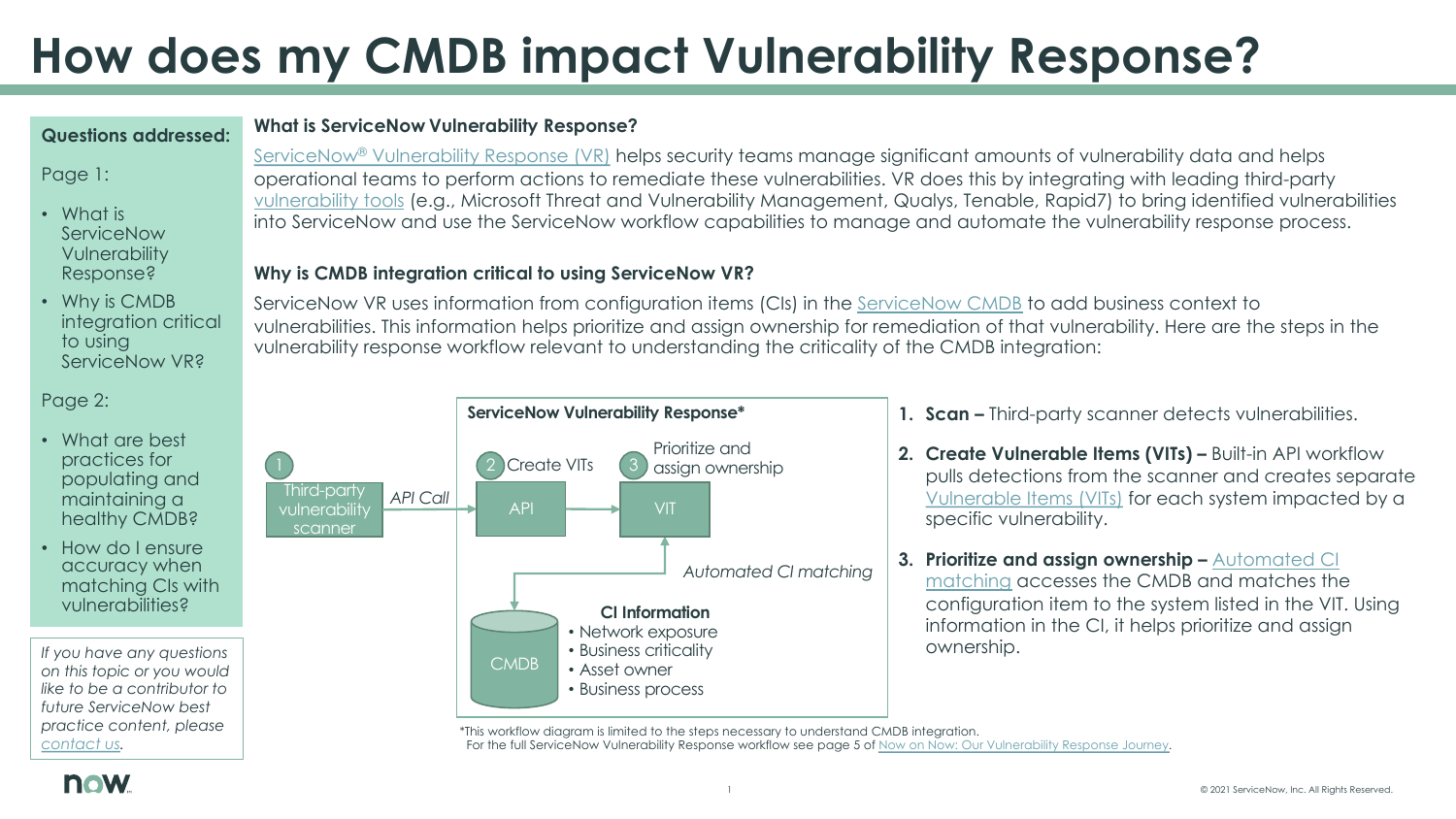# **How does my CMDB impact Vulnerability**

#### **Questions addressed:**

### Page 1:

- What is **ServiceNow Vulnerability** Response?
- Why is CMDB integration critical to using [Service](mailto:best.practices@servicenow.com)Now VR?

Page 2:

- What are best practices for populating and maintaining a healthy CMDB?
- How do I ensure accuracy when matching CIs with vulnerabilities?

*If you have any questions on this topic or you would like to be a contributor to future ServiceNow best practice content, please contact us.* 

## **What is ServiceNow Vulnerability Response?**

ServiceNow<sup>®</sup> Vulnerability Response (VR) helps security teams manage signifi operational teams to perform actions to remediate these vulnerabilities. VR does this by integrating with lead vulnerability tools (e.g., Microsoft Threat and Vulnerability Management, Qualys, Tenas into ServiceNow and use the ServiceNow workflow capabilities to manage a

## **Why is CMDB integration critical to using ServiceNow VR?**

ServiceNow VR uses information from configuration items (CIs) in the ServiceN vulnerabilities. This information helps prioritize and assign ownership for remediation of that vulnerabilities. Here are the steps in the steps in the steps in the steps in the steps in the steps in the steps in the steps vulnerability response workflow relevant to understanding the criticality of the



\*This workflow diagram is limited to the steps necessary to understand CMDB integration. For the full ServiceNow Vulnerability Response workflow see page 5 of Now on